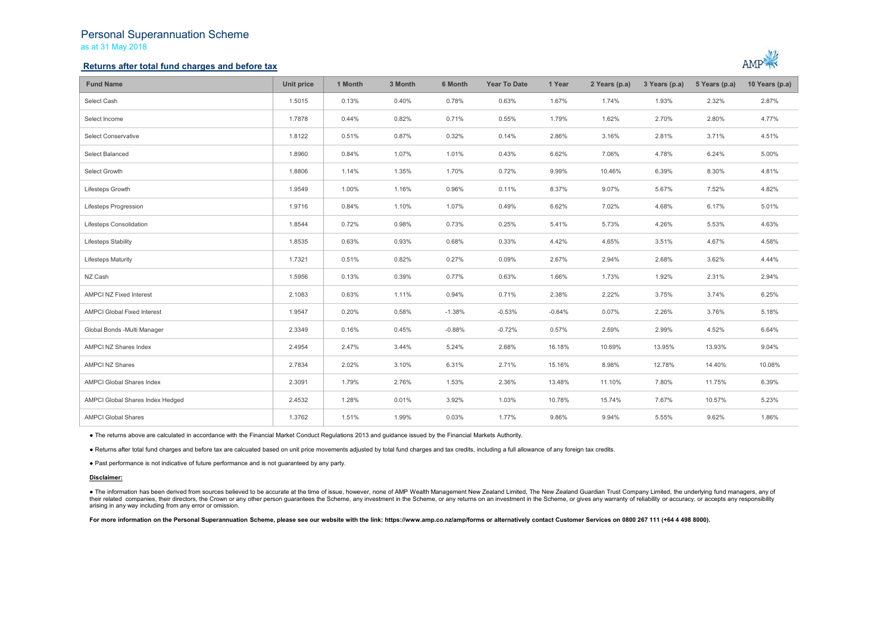# Personal Superannuation Scheme

as at 31 May 2018

## **Returns after total fund charges and before tax**



| <b>Fund Name</b>                   | Unit price | 1 Month | 3 Month | 6 Month  | <b>Year To Date</b> | 1 Year   | 2 Years (p.a) | 3 Years (p.a) | 5 Years (p.a) | 10 Years (p.a) |
|------------------------------------|------------|---------|---------|----------|---------------------|----------|---------------|---------------|---------------|----------------|
| Select Cash                        | 1.5015     | 0.13%   | 0.40%   | 0.78%    | 0.63%               | 1.67%    | 1.74%         | 1.93%         | 2.32%         | 2.87%          |
| Select Income                      | 1.7878     | 0.44%   | 0.82%   | 0.71%    | 0.55%               | 1.79%    | 1.62%         | 2.70%         | 2.80%         | 4.77%          |
| Select Conservative                | 1.8122     | 0.51%   | 0.87%   | 0.32%    | 0.14%               | 2.86%    | 3.16%         | 2.81%         | 3.71%         | 4.51%          |
| Select Balanced                    | 1.8960     | 0.84%   | 1.07%   | 1.01%    | 0.43%               | 6.62%    | 7.06%         | 4.78%         | 6.24%         | 5.00%          |
| Select Growth                      | 1.8806     | 1.14%   | 1.35%   | 1.70%    | 0.72%               | 9.99%    | 10.46%        | 6.39%         | 8.30%         | 4.81%          |
| Lifesteps Growth                   | 1.9549     | 1.00%   | 1.16%   | 0.96%    | 0.11%               | 8.37%    | 9.07%         | 5.67%         | 7.52%         | 4.82%          |
| Lifesteps Progression              | 1.9716     | 0.84%   | 1.10%   | 1.07%    | 0.49%               | 6.62%    | 7.02%         | 4.68%         | 6.17%         | 5.01%          |
| Lifesteps Consolidation            | 1.8544     | 0.72%   | 0.98%   | 0.73%    | 0.25%               | 5.41%    | 5.73%         | 4.26%         | 5.53%         | 4.63%          |
| <b>Lifesteps Stability</b>         | 1.8535     | 0.63%   | 0.93%   | 0.68%    | 0.33%               | 4.42%    | 4.65%         | 3.51%         | 4.67%         | 4.58%          |
| <b>Lifesteps Maturity</b>          | 1.7321     | 0.51%   | 0.82%   | 0.27%    | 0.09%               | 2.67%    | 2.94%         | 2.68%         | 3.62%         | 4.44%          |
| NZ Cash                            | 1.5956     | 0.13%   | 0.39%   | 0.77%    | 0.63%               | 1.66%    | 1.73%         | 1.92%         | 2.31%         | 2.94%          |
| <b>AMPCI NZ Fixed Interest</b>     | 2.1083     | 0.63%   | 1.11%   | 0.94%    | 0.71%               | 2.38%    | 2.22%         | 3.75%         | 3.74%         | 6.25%          |
| <b>AMPCI Global Fixed Interest</b> | 1.9547     | 0.20%   | 0.58%   | $-1.38%$ | $-0.53%$            | $-0.64%$ | 0.07%         | 2.26%         | 3.76%         | 5.18%          |
| Global Bonds -Multi Manager        | 2.3349     | 0.16%   | 0.45%   | $-0.88%$ | $-0.72%$            | 0.57%    | 2.59%         | 2.99%         | 4.52%         | 6.64%          |
| AMPCI NZ Shares Index              | 2.4954     | 2.47%   | 3.44%   | 5.24%    | 2.68%               | 16.18%   | 10.69%        | 13.95%        | 13.93%        | 9.04%          |
| <b>AMPCI NZ Shares</b>             | 2.7834     | 2.02%   | 3.10%   | 6.31%    | 2.71%               | 15.16%   | 8.98%         | 12.78%        | 14.40%        | 10.08%         |
| AMPCI Global Shares Index          | 2.3091     | 1.79%   | 2.76%   | 1.53%    | 2.36%               | 13.48%   | 11.10%        | 7.80%         | 11.75%        | 6.39%          |
| AMPCI Global Shares Index Hedged   | 2.4532     | 1.28%   | 0.01%   | 3.92%    | 1.03%               | 10.78%   | 15.74%        | 7.67%         | 10.57%        | 5.23%          |
| <b>AMPCI Global Shares</b>         | 1.3762     | 1.51%   | 1.99%   | 0.03%    | 1.77%               | 9.86%    | 9.94%         | 5.55%         | 9.62%         | 1.86%          |

● The returns above are calculated in accordance with the Financial Market Conduct Regulations 2013 and guidance issued by the Financial Markets Authority.

● Returns after total fund charges and before tax are calcuated based on unit price movements adjusted by total fund charges and tax credits, including a full allowance of any foreign tax credits.

● Past performance is not indicative of future performance and is not guaranteed by any party.

### **Disclaimer:**

• The information has been derived from sources believed to be accurate at the time of issue, however, none of AMP Wealth Management New Zealand Limited, The New Zealand Guardian Trust Company Limited, the underlying fund their related companies, their directors, the Crown or any other person quarantees the Scheme, any investment in the Scheme, or any returns on an investment in the Scheme, or gives any warranty of reliability or accuracy, arising in any way including from any error or omission.

For more information on the Personal Superannuation Scheme, please see our website with the link: https://www.amp.co.nz/amp/forms or alternatively contact Customer Services on 0800 267 111 (+64 4 498 8000).